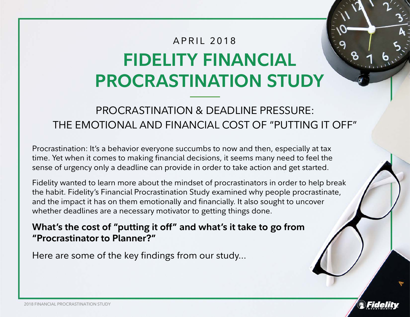# **FIDELITY FINANCIAL PROCRASTINATION STUDY** APRIL 2018

# PROCRASTINATION & DEADLINE PRESSURE: THE EMOTIONAL AND FINANCIAL COST OF "PUTTING IT OFF"

Procrastination: It's a behavior everyone succumbs to now and then, especially at tax time. Yet when it comes to making financial decisions, it seems many need to feel the sense of urgency only a deadline can provide in order to take action and get started.

Fidelity wanted to learn more about the mindset of procrastinators in order to help break the habit. Fidelity's Financial Procrastination Study examined why people procrastinate, and the impact it has on them emotionally and financially. It also sought to uncover whether deadlines are a necessary motivator to getting things done.

**What's the cost of "putting it off" and what's it take to go from "Procrastinator to Planner?"** 

Here are some of the key findings from our study…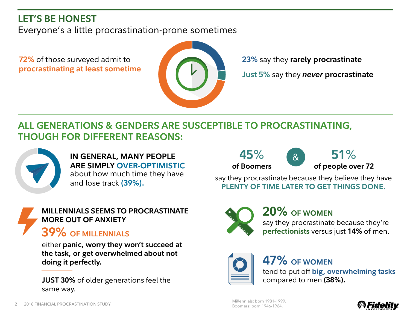# **LET'S BE HONEST**

Everyone's a little procrastination-prone sometimes

**72%** of those surveyed admit to **procrastinating at least sometime**



**23%** say they **rarely procrastinate**

**Just 5%** say they *never* **procrastinate**

# **ALL GENERATIONS & GENDERS ARE SUSCEPTIBLE TO PROCRASTINATING, THOUGH FOR DIFFERENT REASONS:**



**IN GENERAL, MANY PEOPLE ARE SIMPLY OVER-OPTIMISTIC**  about how much time they have and lose track **(39%).**

#### **MILLENNIALS SEEMS TO PROCRASTINATE MORE OUT OF ANXIETY**

# **39% OF MILLENNIALS**

either **panic, worry they won't succeed at the task, or get overwhelmed about not doing it perfectly.**

**JUST 30%** of older generations feel the same way.



**of Boomers of people over 72**  $\mathcal{R}_{\mathcal{L}}$ 

**45**% **51**%

say they procrastinate because they believe they have **PLENTY OF TIME LATER TO GET THINGS DONE.**



# **20% OF WOMEN**

say they procrastinate because they're **perfectionists** versus just **14%** of men.



# **47% OF WOMEN**

tend to put off **big, overwhelming tasks** compared to men **(38%).**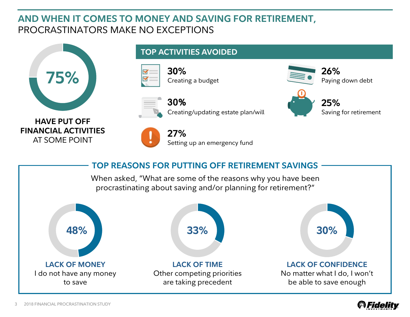## **AND WHEN IT COMES TO MONEY AND SAVING FOR RETIREMENT,**  PROCRASTINATORS MAKE NO EXCEPTIONS



### **TOP ACTIVITIES AVOIDED**

Creating a budget

**30%**





**30%**  Creating/updating estate plan/will

**HAVE PUT OFF FINANCIAL ACTIVITIES**  AT SOME POINT



**27%**  Setting up an emergency fund



**26%** 

**25%** 

Paying down debt

Saving for retirement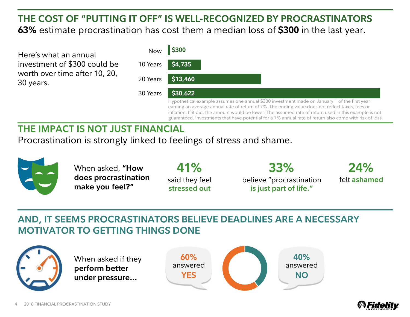# **THE COST OF "PUTTING IT OFF" IS WELL-RECOGNIZED BY PROCRASTINATORS 63%** estimate procrastination has cost them a median loss of **\$300** in the last year.

Here's what an annual investment of \$300 could be worth over time after 10, 20, 30 years.

| Now      | \$300                                                                                                                                                                                                                                                                                                                                                                                                                  |
|----------|------------------------------------------------------------------------------------------------------------------------------------------------------------------------------------------------------------------------------------------------------------------------------------------------------------------------------------------------------------------------------------------------------------------------|
| 10 Years | \$4,735                                                                                                                                                                                                                                                                                                                                                                                                                |
| 20 Years | \$13,460                                                                                                                                                                                                                                                                                                                                                                                                               |
| 30 Years | \$30,622                                                                                                                                                                                                                                                                                                                                                                                                               |
|          | Hypothetical example assumes one annual \$300 investment made on January 1 of the first year<br>earning an average annual rate of return of 7%. The ending value does not reflect taxes, fees or<br>inflation. If it did, the amount would be lower. The assumed rate of return used in this example is not<br>guaranteed. Investments that have potential for a 7% annual rate of return also come with risk of loss. |

**40%** answered **NO**

# **THE IMPACT IS NOT JUST FINANCIAL**

Procrastination is strongly linked to feelings of stress and shame.



# **AND, IT SEEMS PROCRASTINATORS BELIEVE DEADLINES ARE A NECESSARY MOTIVATOR TO GETTING THINGS DONE**



When asked if they **perform better under pressure…**